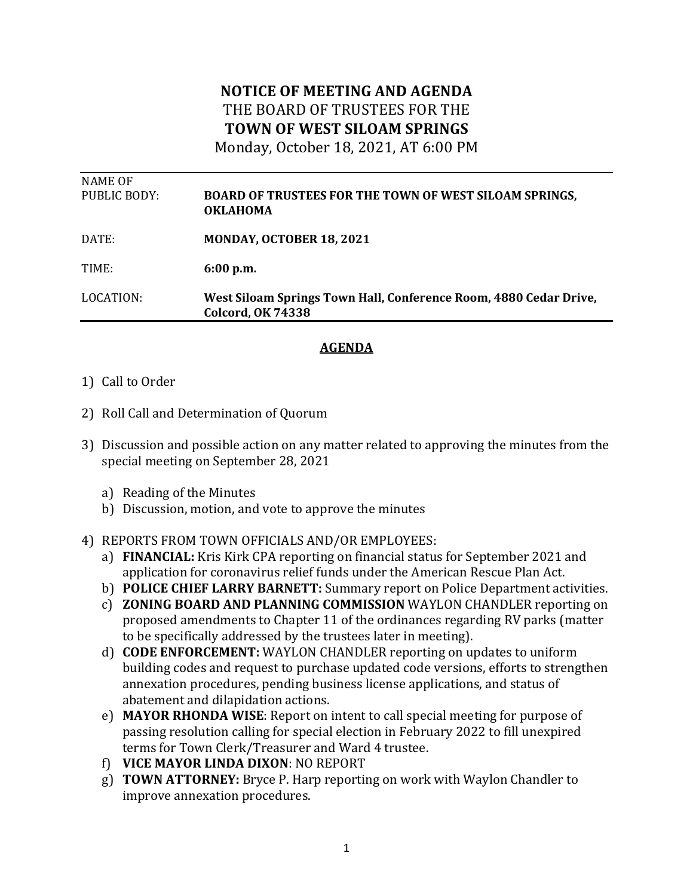## **NOTICE OF MEETING AND AGENDA** THE BOARD OF TRUSTEES FOR THE **TOWN OF WEST SILOAM SPRINGS**

Monday, October 18, 2021, AT 6:00 PM

| NAME OF      |                                                                                               |
|--------------|-----------------------------------------------------------------------------------------------|
| PUBLIC BODY: | <b>BOARD OF TRUSTEES FOR THE TOWN OF WEST SILOAM SPRINGS,</b><br><b>OKLAHOMA</b>              |
| DATE:        | <b>MONDAY, OCTOBER 18, 2021</b>                                                               |
| TIME:        | 6:00 p.m.                                                                                     |
| LOCATION:    | West Siloam Springs Town Hall, Conference Room, 4880 Cedar Drive,<br><b>Colcord, OK 74338</b> |
|              |                                                                                               |

## **AGENDA**

## 1) Call to Order

- 2) Roll Call and Determination of Quorum
- 3) Discussion and possible action on any matter related to approving the minutes from the special meeting on September 28, 2021
	- a) Reading of the Minutes
	- b) Discussion, motion, and vote to approve the minutes
- 4) REPORTS FROM TOWN OFFICIALS AND/OR EMPLOYEES:
	- a) **FINANCIAL:** Kris Kirk CPA reporting on financial status for September 2021 and application for coronavirus relief funds under the American Rescue Plan Act.
	- b) **POLICE CHIEF LARRY BARNETT:** Summary report on Police Department activities.
	- c) **ZONING BOARD AND PLANNING COMMISSION** WAYLON CHANDLER reporting on proposed amendments to Chapter 11 of the ordinances regarding RV parks (matter to be specifically addressed by the trustees later in meeting).
	- d) **CODE ENFORCEMENT:** WAYLON CHANDLER reporting on updates to uniform building codes and request to purchase updated code versions, efforts to strengthen annexation procedures, pending business license applications, and status of abatement and dilapidation actions.
	- e) **MAYOR RHONDA WISE**: Report on intent to call special meeting for purpose of passing resolution calling for special election in February 2022 to fill unexpired terms for Town Clerk/Treasurer and Ward 4 trustee.
	- f) **VICE MAYOR LINDA DIXON**: NO REPORT
	- g) **TOWN ATTORNEY:** Bryce P. Harp reporting on work with Waylon Chandler to improve annexation procedures.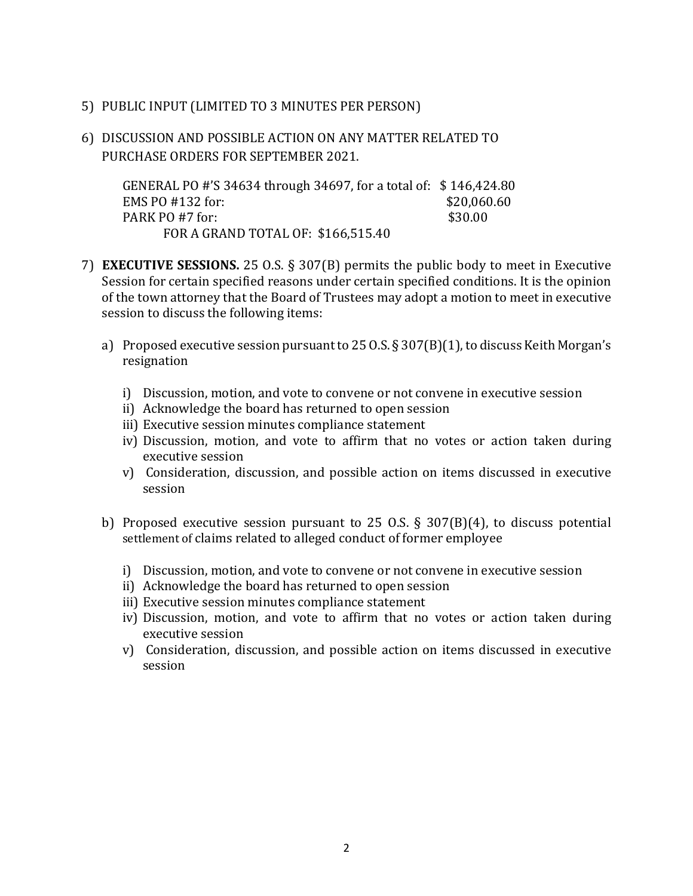- 5) PUBLIC INPUT (LIMITED TO 3 MINUTES PER PERSON)
- 6) DISCUSSION AND POSSIBLE ACTION ON ANY MATTER RELATED TO PURCHASE ORDERS FOR SEPTEMBER 2021.

GENERAL PO #'S 34634 through 34697, for a total of: \$146,424.80 EMS PO #132 for: \$20,060.60 PARK PO #7 for: \$30.00 FOR A GRAND TOTAL OF: \$166,515.40

- 7) **EXECUTIVE SESSIONS.** 25 O.S. § 307(B) permits the public body to meet in Executive Session for certain specified reasons under certain specified conditions. It is the opinion of the town attorney that the Board of Trustees may adopt a motion to meet in executive session to discuss the following items:
	- a) Proposed executive session pursuant to  $25$  O.S.  $\S 307(B)(1)$ , to discuss Keith Morgan's resignation
		- i) Discussion, motion, and vote to convene or not convene in executive session
		- ii) Acknowledge the board has returned to open session
		- iii) Executive session minutes compliance statement
		- iv) Discussion, motion, and vote to affirm that no votes or action taken during executive session
		- v) Consideration, discussion, and possible action on items discussed in executive session
	- b) Proposed executive session pursuant to 25 O.S.  $\S$  307(B)(4), to discuss potential settlement of claims related to alleged conduct of former employee
		- i) Discussion, motion, and vote to convene or not convene in executive session
		- ii) Acknowledge the board has returned to open session
		- iii) Executive session minutes compliance statement
		- iv) Discussion, motion, and vote to affirm that no votes or action taken during executive session
		- v) Consideration, discussion, and possible action on items discussed in executive session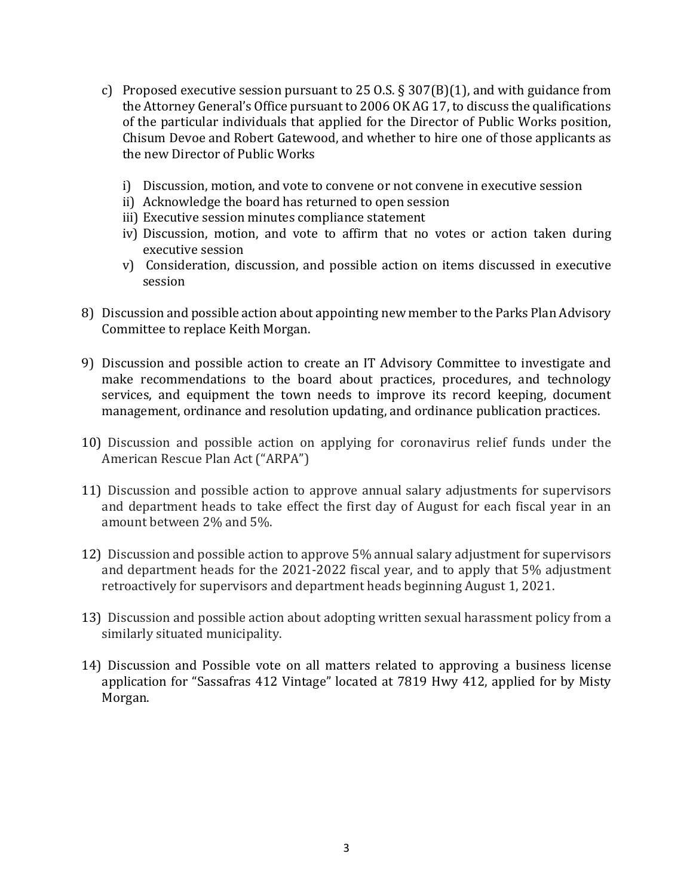- c) Proposed executive session pursuant to 25 O.S.  $\S 307(B)(1)$ , and with guidance from the Attorney General's Office pursuant to 2006 OK AG 17, to discuss the qualifications of the particular individuals that applied for the Director of Public Works position, Chisum Devoe and Robert Gatewood, and whether to hire one of those applicants as the new Director of Public Works
	- i) Discussion, motion, and vote to convene or not convene in executive session
	- ii) Acknowledge the board has returned to open session
	- iii) Executive session minutes compliance statement
	- iv) Discussion, motion, and vote to affirm that no votes or action taken during executive session
	- v) Consideration, discussion, and possible action on items discussed in executive session
- 8) Discussion and possible action about appointing new member to the Parks Plan Advisory Committee to replace Keith Morgan.
- 9) Discussion and possible action to create an IT Advisory Committee to investigate and make recommendations to the board about practices, procedures, and technology services, and equipment the town needs to improve its record keeping, document management, ordinance and resolution updating, and ordinance publication practices.
- 10) Discussion and possible action on applying for coronavirus relief funds under the American Rescue Plan Act ("ARPA")
- 11) Discussion and possible action to approve annual salary adjustments for supervisors and department heads to take effect the first day of August for each fiscal year in an amount between 2% and 5%.
- 12) Discussion and possible action to approve 5% annual salary adjustment for supervisors and department heads for the  $2021-2022$  fiscal year, and to apply that  $5\%$  adjustment retroactively for supervisors and department heads beginning August 1, 2021.
- 13) Discussion and possible action about adopting written sexual harassment policy from a similarly situated municipality.
- 14) Discussion and Possible vote on all matters related to approving a business license application for "Sassafras 412 Vintage" located at 7819 Hwy 412, applied for by Misty Morgan.